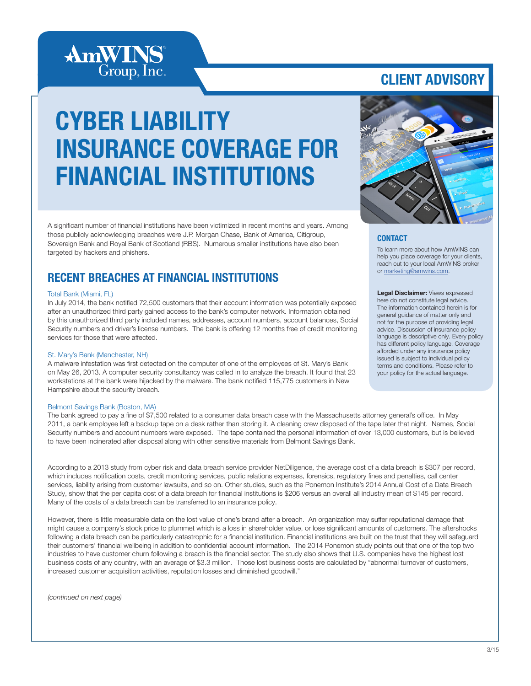

### CLIENT ADVISORY

# CYBER LIABILITY INSURANCE COVERAGE FOR FINANCIAL INSTITUTIONS

A significant number of financial institutions have been victimized in recent months and years. Among those publicly acknowledging breaches were J.P. Morgan Chase, Bank of America, Citigroup, Sovereign Bank and Royal Bank of Scotland (RBS). Numerous smaller institutions have also been targeted by hackers and phishers.

### RECENT BREACHES AT FINANCIAL INSTITUTIONS

#### Total Bank (Miami, FL)

In July 2014, the bank notified 72,500 customers that their account information was potentially exposed after an unauthorized third party gained access to the bank's computer network. Information obtained by this unauthorized third party included names, addresses, account numbers, account balances, Social Security numbers and driver's license numbers. The bank is offering 12 months free of credit monitoring services for those that were affected.

#### St. Mary's Bank (Manchester, NH)

A malware infestation was first detected on the computer of one of the employees of St. Mary's Bank on May 26, 2013. A computer security consultancy was called in to analyze the breach. It found that 23 workstations at the bank were hijacked by the malware. The bank notified 115,775 customers in New Hampshire about the security breach.

#### Belmont Savings Bank (Boston, MA)

The bank agreed to pay a fine of \$7,500 related to a consumer data breach case with the Massachusetts attorney general's office. In May 2011, a bank employee left a backup tape on a desk rather than storing it. A cleaning crew disposed of the tape later that night. Names, Social Security numbers and account numbers were exposed. The tape contained the personal information of over 13,000 customers, but is believed to have been incinerated after disposal along with other sensitive materials from Belmont Savings Bank.

According to a 2013 study from cyber risk and data breach service provider NetDiligence, the average cost of a data breach is \$307 per record, which includes notification costs, credit monitoring services, public relations expenses, forensics, regulatory fines and penalties, call center services, liability arising from customer lawsuits, and so on. Other studies, such as the Ponemon Institute's 2014 Annual Cost of a Data Breach Study, show that the per capita cost of a data breach for financial institutions is \$206 versus an overall all industry mean of \$145 per record. Many of the costs of a data breach can be transferred to an insurance policy.

However, there is little measurable data on the lost value of one's brand after a breach. An organization may suffer reputational damage that might cause a company's stock price to plummet which is a loss in shareholder value, or lose significant amounts of customers. The aftershocks following a data breach can be particularly catastrophic for a financial institution. Financial institutions are built on the trust that they will safeguard their customers' financial wellbeing in addition to confidential account information. The 2014 Ponemon study points out that one of the top two industries to have customer churn following a breach is the financial sector. The study also shows that U.S. companies have the highest lost business costs of any country, with an average of \$3.3 million. Those lost business costs are calculated by "abnormal turnover of customers, increased customer acquisition activities, reputation losses and diminished goodwill."

*(continued on next page)*



#### **CONTACT**

To learn more about how AmWINS can help you place coverage for your clients, reach out to your local AmWINS broker or [marketing@amwins.com.](mailto:marketing%40amwins.com?subject=)

Legal Disclaimer: Views expressed here do not constitute legal advice. The information contained herein is for general guidance of matter only and not for the purpose of providing legal advice. Discussion of insurance policy language is descriptive only. Every policy has different policy language. Coverage afforded under any insurance policy issued is subject to individual policy terms and conditions. Please refer to your policy for the actual language.